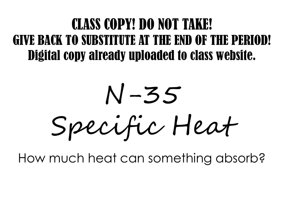### CLASS COPY! DO NOT TAKE! GIVE BACK TO SUBSTITUTE AT THE END OF THE PERIOD! Digital copy already uploaded to class website.

N-35 Specific Heat

How much heat can something absorb?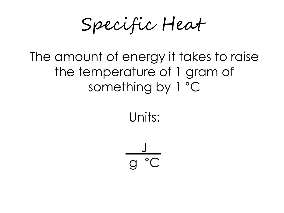Specific Heat

#### The amount of energy it takes to raise the temperature of 1 gram of something by 1 °C

Units:

J g °C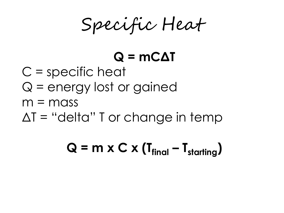Specific Heat

## **Q = mCΔT**

- C = specific heat
- Q = energy lost or gained
- $m = mass$
- $\Delta T$  = "delta" T or change in temp

 $Q = m \times C \times (T_{final} - T_{starting})$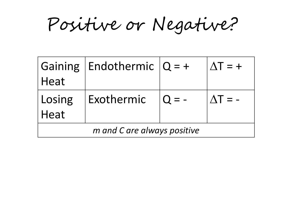Positive or Negative?

|                             | $ Gaining $ Endothermic $ Q = +$ |  | $ \Delta T = +$ |
|-----------------------------|----------------------------------|--|-----------------|
| Heat                        |                                  |  |                 |
| Losing                      | $\vert$ Exothermic $\vert$ Q = - |  | $\Lambda T = -$ |
| Heat                        |                                  |  |                 |
| m and C are always positive |                                  |  |                 |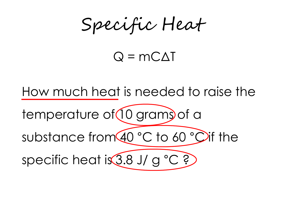Specific Heat

#### $Q = MCA$

How much heat is needed to raise the

temperature of  $(10$  grams of a

substance from 40 °C to 60 °C if the

specific heat is 3.8 J/ g °C ?)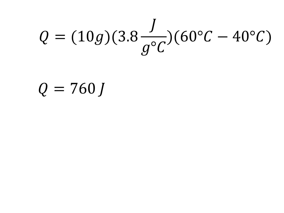# $Q = (10g)(3.8 \frac{J}{q^{\circ}C})(60^{\circ}C - 40^{\circ}C)$

## $Q = 760 J$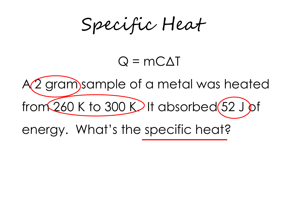Specific Heat

#### $Q = MCA$

A(2 gram) sample of a metal was heated

from  $260$  K to 300 K $\blacktriangleright$  It absorbed  $(52 \text{ J})$ of

energy. What's the specific heat?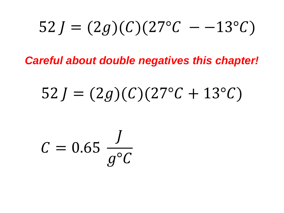$$
52 J = (2g)(C)(27^{\circ}C - -13^{\circ}C)
$$

*Careful about double negatives this chapter!*

## $52 J = (2g)(C)(27^{\circ}C + 13^{\circ}C)$

 $C = 0.65 \frac{J}{g^{\circ}C}$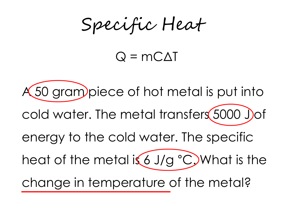Specific Heat

#### $Q = MCA$

A 50 gram piece of hot metal is put into cold water. The metal transfers 5000 Jof energy to the cold water. The specific heat of the metal is 6 J/g  $^{\circ}$ C. What is the change in temperature of the metal?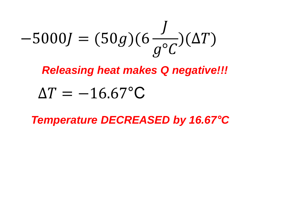$$
-5000J = (50g)(6\frac{J}{g^{\circ}C})(\Delta T)
$$

*Releasing heat makes Q negative!!!*

## $\Delta T = -16.67$ °C

*Temperature DECREASED by 16.67°C*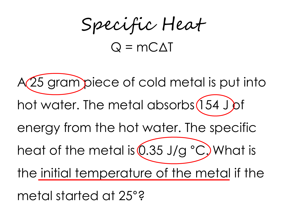Specific Heat  $Q = mC\Lambda T$ 

A 25 gram piece of cold metal is put into hot water. The metal absorbs (154 J of energy from the hot water. The specific heat of the metal is  $(0.35 \text{ J/g} \text{ }^{\circ}\text{C})$  What is the initial temperature of the metal if the metal started at 25°?